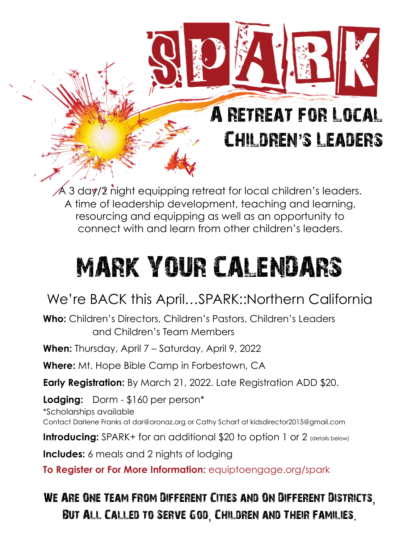## A Retreat for Local Children's Leaders

 $\overline{\mathsf{A}}$  3 day/2 night equipping retreat for local children's leaders. A time of leadership development, teaching and learning, resourcing and equipping as well as an opportunity to connect with and learn from other children's leaders.

## MARK YOUR CALENDARS

## We're BACK this April…SPARK::Northern California

**Who:** Children's Directors, Children's Pastors, Children's Leaders and Children's Team Members

**When:** Thursday, April 7 – Saturday, April 9, 2022

**Where:** Mt. Hope Bible Camp in Forbestown, CA

**Early Registration:** By March 21, 2022. Late Registration ADD \$20.

**Lodging:** Dorm - \$160 per person\*

\*Scholarships available Contact Darlene Franks at [dar@oronaz.org](mailto:dar@oronaz.org) or Cathy Scharf at kidsdirector2015@gmail.com

**Introducing:** SPARK+ for an additional \$20 to option 1 or 2 (details below)

**Includes:** 6 meals and 2 nights of lodging

**To Register or For More Information:** equiptoengage.org/spark

We Are One Team From Different Cities and On Different Districts, But All Called to Serve God, Children and Their Families.